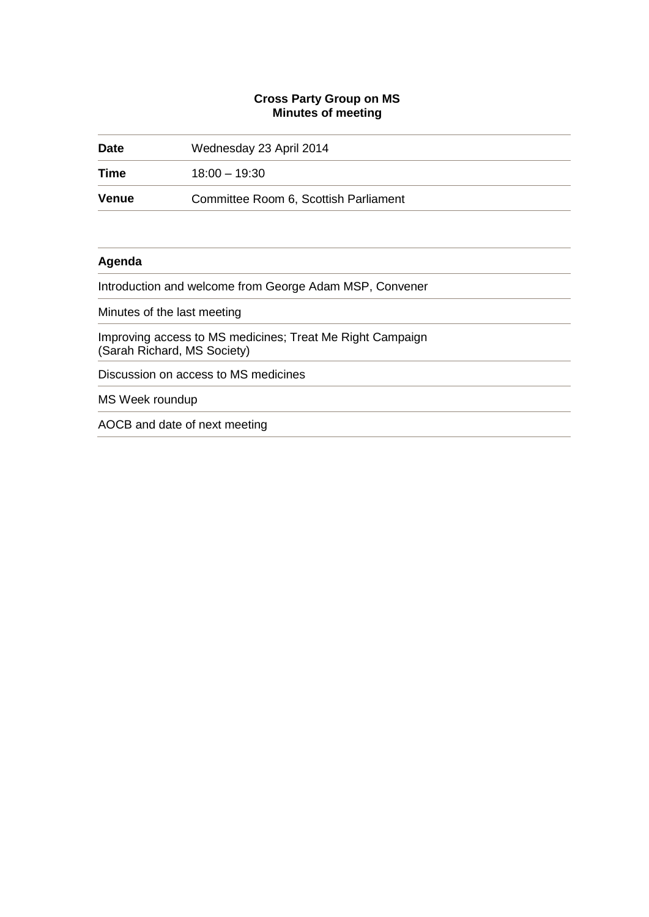### **Cross Party Group on MS Minutes of meeting**

| <b>Date</b>                                                                              | Wednesday 23 April 2014               |  |
|------------------------------------------------------------------------------------------|---------------------------------------|--|
| Time                                                                                     | $18:00 - 19:30$                       |  |
| <b>Venue</b>                                                                             | Committee Room 6, Scottish Parliament |  |
|                                                                                          |                                       |  |
| Agenda                                                                                   |                                       |  |
| Introduction and welcome from George Adam MSP, Convener                                  |                                       |  |
| Minutes of the last meeting                                                              |                                       |  |
| Improving access to MS medicines; Treat Me Right Campaign<br>(Sarah Richard, MS Society) |                                       |  |
| Discussion on access to MS medicines                                                     |                                       |  |
| MS Week roundup                                                                          |                                       |  |
| AOCB and date of next meeting                                                            |                                       |  |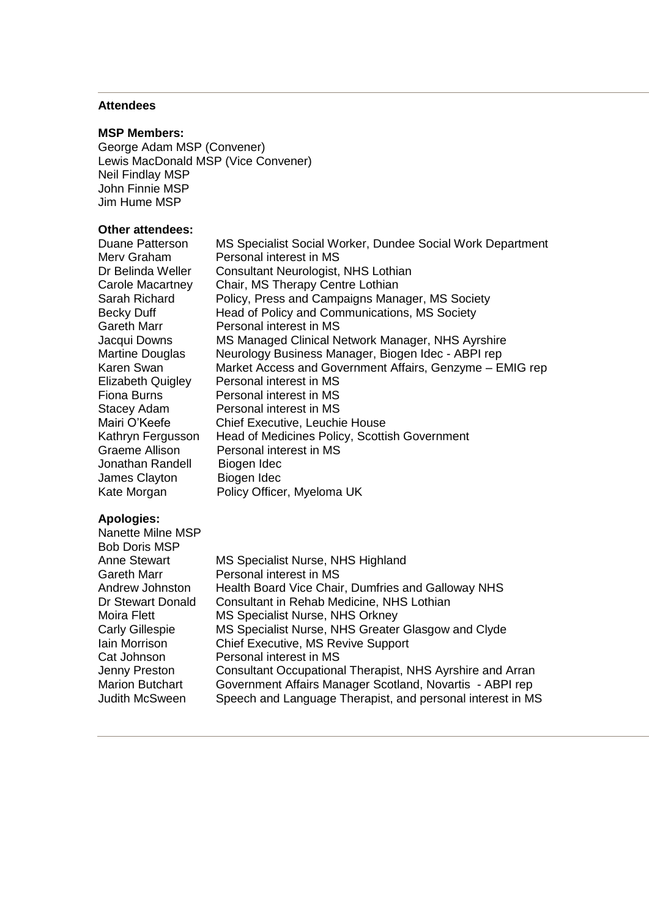# **Attendees**

### **MSP Members:**

George Adam MSP (Convener) Lewis MacDonald MSP (Vice Convener) Neil Findlay MSP John Finnie MSP Jim Hume MSP

## **Other attendees:**

| Duane Patterson          | MS Specialist Social Worker, Dundee Social Work Department |
|--------------------------|------------------------------------------------------------|
| Merv Graham              | Personal interest in MS                                    |
| Dr Belinda Weller        | Consultant Neurologist, NHS Lothian                        |
| Carole Macartney         | Chair, MS Therapy Centre Lothian                           |
| Sarah Richard            | Policy, Press and Campaigns Manager, MS Society            |
| Becky Duff               | Head of Policy and Communications, MS Society              |
| Gareth Marr              | Personal interest in MS                                    |
| Jacqui Downs             | MS Managed Clinical Network Manager, NHS Ayrshire          |
| <b>Martine Douglas</b>   | Neurology Business Manager, Biogen Idec - ABPI rep         |
| Karen Swan               | Market Access and Government Affairs, Genzyme - EMIG rep   |
| <b>Elizabeth Quigley</b> | Personal interest in MS                                    |
| Fiona Burns              | Personal interest in MS                                    |
| Stacey Adam              | Personal interest in MS                                    |
| Mairi O'Keefe            | <b>Chief Executive, Leuchie House</b>                      |
| Kathryn Fergusson        | Head of Medicines Policy, Scottish Government              |
| Graeme Allison           | Personal interest in MS                                    |
| Jonathan Randell         | Biogen Idec                                                |
| James Clayton            | Biogen Idec                                                |
| Kate Morgan              | Policy Officer, Myeloma UK                                 |

# **Apologies:**

| Nanette Milne MSP      |                                                            |
|------------------------|------------------------------------------------------------|
| <b>Bob Doris MSP</b>   |                                                            |
| <b>Anne Stewart</b>    | MS Specialist Nurse, NHS Highland                          |
| Gareth Marr            | Personal interest in MS                                    |
| Andrew Johnston        | Health Board Vice Chair, Dumfries and Galloway NHS         |
| Dr Stewart Donald      | Consultant in Rehab Medicine, NHS Lothian                  |
| Moira Flett            | MS Specialist Nurse, NHS Orkney                            |
| <b>Carly Gillespie</b> | MS Specialist Nurse, NHS Greater Glasgow and Clyde         |
| Iain Morrison          | <b>Chief Executive, MS Revive Support</b>                  |
| Cat Johnson            | Personal interest in MS                                    |
| Jenny Preston          | Consultant Occupational Therapist, NHS Ayrshire and Arran  |
| <b>Marion Butchart</b> | Government Affairs Manager Scotland, Novartis - ABPI rep   |
| Judith McSween         | Speech and Language Therapist, and personal interest in MS |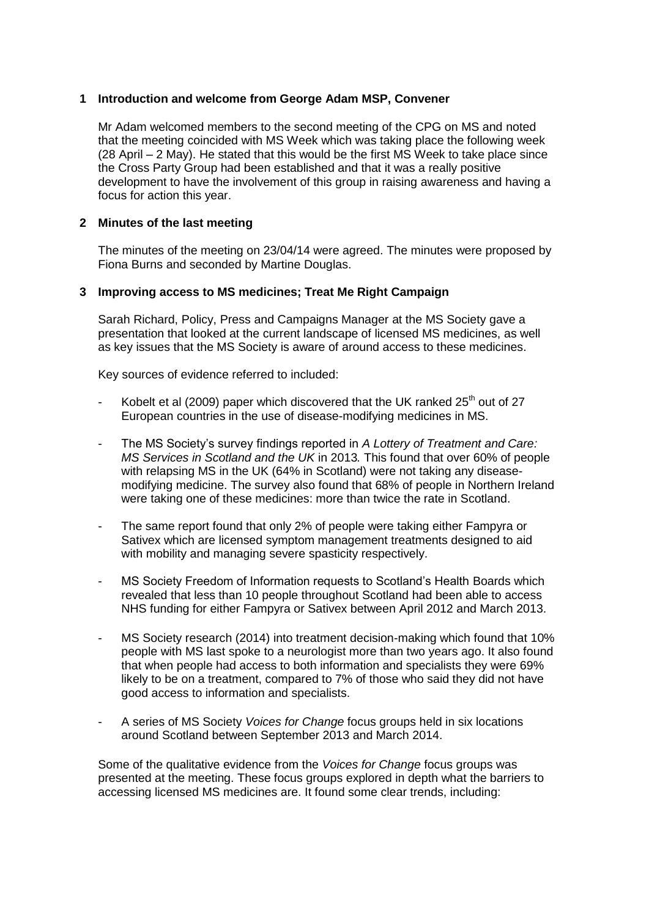### **1 Introduction and welcome from George Adam MSP, Convener**

Mr Adam welcomed members to the second meeting of the CPG on MS and noted that the meeting coincided with MS Week which was taking place the following week (28 April – 2 May). He stated that this would be the first MS Week to take place since the Cross Party Group had been established and that it was a really positive development to have the involvement of this group in raising awareness and having a focus for action this year.

### **2 Minutes of the last meeting**

The minutes of the meeting on 23/04/14 were agreed. The minutes were proposed by Fiona Burns and seconded by Martine Douglas.

### **3 Improving access to MS medicines; Treat Me Right Campaign**

Sarah Richard, Policy, Press and Campaigns Manager at the MS Society gave a presentation that looked at the current landscape of licensed MS medicines, as well as key issues that the MS Society is aware of around access to these medicines.

Key sources of evidence referred to included:

- Kobelt et al (2009) paper which discovered that the UK ranked  $25<sup>th</sup>$  out of 27 European countries in the use of disease-modifying medicines in MS.
- The MS Society's survey findings reported in *A Lottery of Treatment and Care: MS Services in Scotland and the UK* in 2013*.* This found that over 60% of people with relapsing MS in the UK (64% in Scotland) were not taking any diseasemodifying medicine. The survey also found that 68% of people in Northern Ireland were taking one of these medicines: more than twice the rate in Scotland.
- The same report found that only 2% of people were taking either Fampyra or Sativex which are licensed symptom management treatments designed to aid with mobility and managing severe spasticity respectively.
- MS Society Freedom of Information requests to Scotland's Health Boards which revealed that less than 10 people throughout Scotland had been able to access NHS funding for either Fampyra or Sativex between April 2012 and March 2013.
- MS Society research (2014) into treatment decision-making which found that 10% people with MS last spoke to a neurologist more than two years ago. It also found that when people had access to both information and specialists they were 69% likely to be on a treatment, compared to 7% of those who said they did not have good access to information and specialists.
- A series of MS Society *Voices for Change* focus groups held in six locations around Scotland between September 2013 and March 2014.

Some of the qualitative evidence from the *Voices for Change* focus groups was presented at the meeting. These focus groups explored in depth what the barriers to accessing licensed MS medicines are. It found some clear trends, including: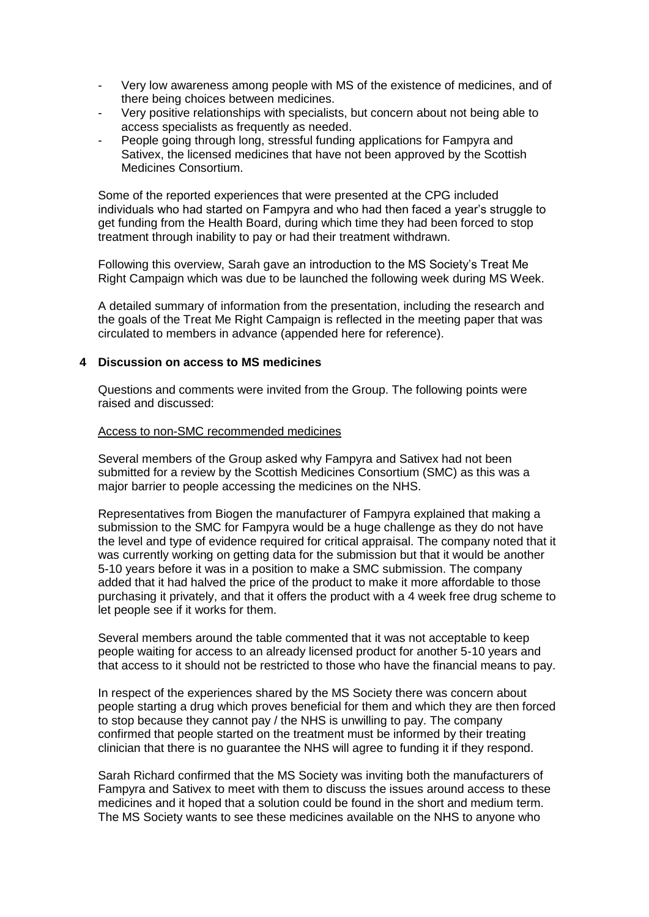- Very low awareness among people with MS of the existence of medicines, and of there being choices between medicines.
- Very positive relationships with specialists, but concern about not being able to access specialists as frequently as needed.
- People going through long, stressful funding applications for Fampyra and Sativex, the licensed medicines that have not been approved by the Scottish Medicines Consortium.

Some of the reported experiences that were presented at the CPG included individuals who had started on Fampyra and who had then faced a year's struggle to get funding from the Health Board, during which time they had been forced to stop treatment through inability to pay or had their treatment withdrawn.

Following this overview, Sarah gave an introduction to the MS Society's Treat Me Right Campaign which was due to be launched the following week during MS Week.

A detailed summary of information from the presentation, including the research and the goals of the Treat Me Right Campaign is reflected in the meeting paper that was circulated to members in advance (appended here for reference).

### **4 Discussion on access to MS medicines**

Questions and comments were invited from the Group. The following points were raised and discussed:

#### Access to non-SMC recommended medicines

Several members of the Group asked why Fampyra and Sativex had not been submitted for a review by the Scottish Medicines Consortium (SMC) as this was a major barrier to people accessing the medicines on the NHS.

Representatives from Biogen the manufacturer of Fampyra explained that making a submission to the SMC for Fampyra would be a huge challenge as they do not have the level and type of evidence required for critical appraisal. The company noted that it was currently working on getting data for the submission but that it would be another 5-10 years before it was in a position to make a SMC submission. The company added that it had halved the price of the product to make it more affordable to those purchasing it privately, and that it offers the product with a 4 week free drug scheme to let people see if it works for them.

Several members around the table commented that it was not acceptable to keep people waiting for access to an already licensed product for another 5-10 years and that access to it should not be restricted to those who have the financial means to pay.

In respect of the experiences shared by the MS Society there was concern about people starting a drug which proves beneficial for them and which they are then forced to stop because they cannot pay / the NHS is unwilling to pay. The company confirmed that people started on the treatment must be informed by their treating clinician that there is no guarantee the NHS will agree to funding it if they respond.

Sarah Richard confirmed that the MS Society was inviting both the manufacturers of Fampyra and Sativex to meet with them to discuss the issues around access to these medicines and it hoped that a solution could be found in the short and medium term. The MS Society wants to see these medicines available on the NHS to anyone who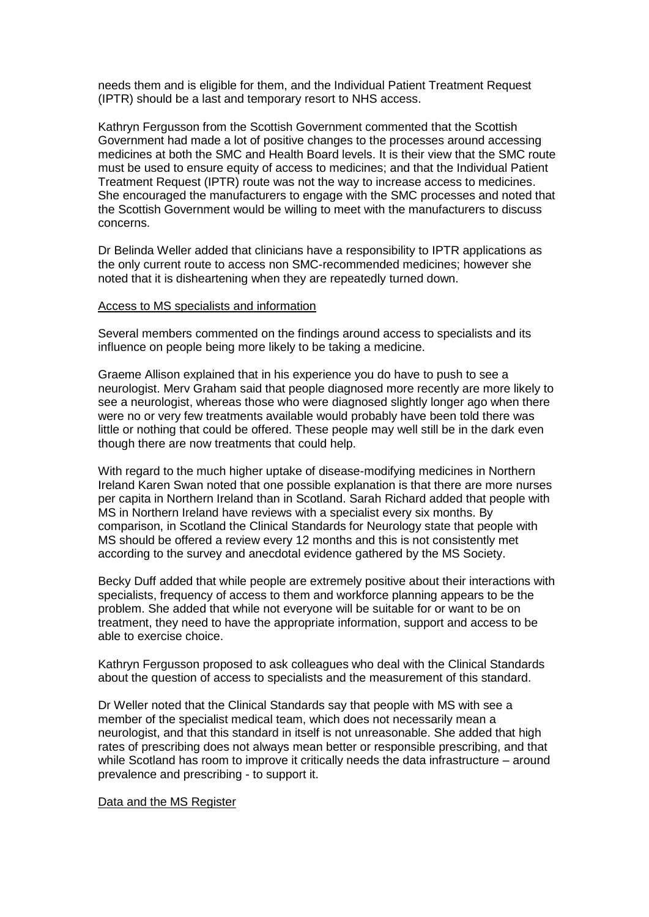needs them and is eligible for them, and the Individual Patient Treatment Request (IPTR) should be a last and temporary resort to NHS access.

Kathryn Fergusson from the Scottish Government commented that the Scottish Government had made a lot of positive changes to the processes around accessing medicines at both the SMC and Health Board levels. It is their view that the SMC route must be used to ensure equity of access to medicines; and that the Individual Patient Treatment Request (IPTR) route was not the way to increase access to medicines. She encouraged the manufacturers to engage with the SMC processes and noted that the Scottish Government would be willing to meet with the manufacturers to discuss concerns.

Dr Belinda Weller added that clinicians have a responsibility to IPTR applications as the only current route to access non SMC-recommended medicines; however she noted that it is disheartening when they are repeatedly turned down.

### Access to MS specialists and information

Several members commented on the findings around access to specialists and its influence on people being more likely to be taking a medicine.

Graeme Allison explained that in his experience you do have to push to see a neurologist. Merv Graham said that people diagnosed more recently are more likely to see a neurologist, whereas those who were diagnosed slightly longer ago when there were no or very few treatments available would probably have been told there was little or nothing that could be offered. These people may well still be in the dark even though there are now treatments that could help.

With regard to the much higher uptake of disease-modifying medicines in Northern Ireland Karen Swan noted that one possible explanation is that there are more nurses per capita in Northern Ireland than in Scotland. Sarah Richard added that people with MS in Northern Ireland have reviews with a specialist every six months. By comparison, in Scotland the Clinical Standards for Neurology state that people with MS should be offered a review every 12 months and this is not consistently met according to the survey and anecdotal evidence gathered by the MS Society.

Becky Duff added that while people are extremely positive about their interactions with specialists, frequency of access to them and workforce planning appears to be the problem. She added that while not everyone will be suitable for or want to be on treatment, they need to have the appropriate information, support and access to be able to exercise choice.

Kathryn Fergusson proposed to ask colleagues who deal with the Clinical Standards about the question of access to specialists and the measurement of this standard.

Dr Weller noted that the Clinical Standards say that people with MS with see a member of the specialist medical team, which does not necessarily mean a neurologist, and that this standard in itself is not unreasonable. She added that high rates of prescribing does not always mean better or responsible prescribing, and that while Scotland has room to improve it critically needs the data infrastructure – around prevalence and prescribing - to support it.

#### Data and the MS Register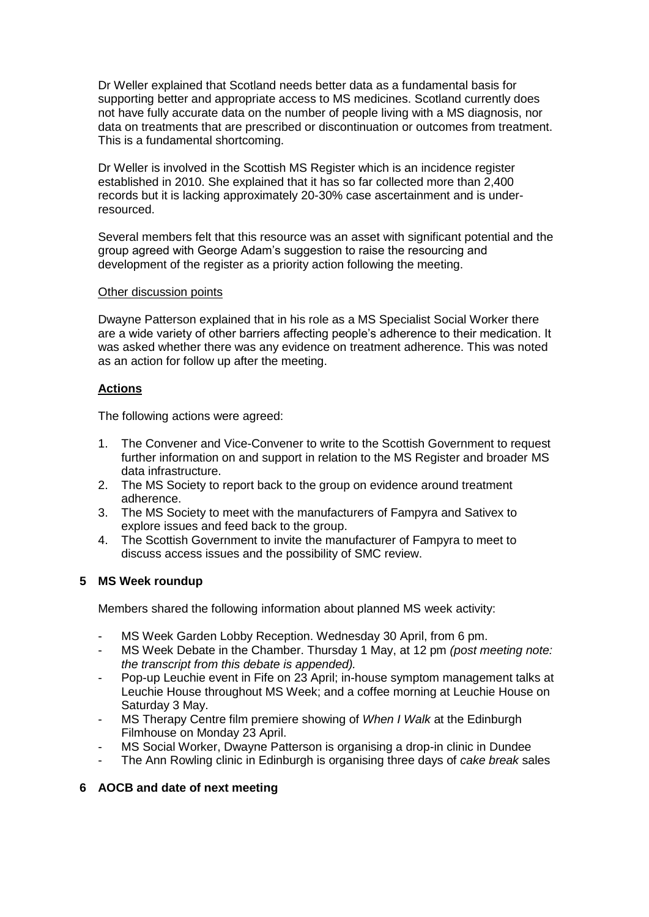Dr Weller explained that Scotland needs better data as a fundamental basis for supporting better and appropriate access to MS medicines. Scotland currently does not have fully accurate data on the number of people living with a MS diagnosis, nor data on treatments that are prescribed or discontinuation or outcomes from treatment. This is a fundamental shortcoming.

Dr Weller is involved in the Scottish MS Register which is an incidence register established in 2010. She explained that it has so far collected more than 2,400 records but it is lacking approximately 20-30% case ascertainment and is underresourced.

Several members felt that this resource was an asset with significant potential and the group agreed with George Adam's suggestion to raise the resourcing and development of the register as a priority action following the meeting.

### Other discussion points

Dwayne Patterson explained that in his role as a MS Specialist Social Worker there are a wide variety of other barriers affecting people's adherence to their medication. It was asked whether there was any evidence on treatment adherence. This was noted as an action for follow up after the meeting.

## **Actions**

The following actions were agreed:

- 1. The Convener and Vice-Convener to write to the Scottish Government to request further information on and support in relation to the MS Register and broader MS data infrastructure.
- 2. The MS Society to report back to the group on evidence around treatment adherence.
- 3. The MS Society to meet with the manufacturers of Fampyra and Sativex to explore issues and feed back to the group.
- 4. The Scottish Government to invite the manufacturer of Fampyra to meet to discuss access issues and the possibility of SMC review.

### **5 MS Week roundup**

Members shared the following information about planned MS week activity:

- MS Week Garden Lobby Reception. Wednesday 30 April, from 6 pm.
- MS Week Debate in the Chamber. Thursday 1 May, at 12 pm *(post meeting note: the transcript from this debate is appended).*
- Pop-up Leuchie event in Fife on 23 April; in-house symptom management talks at Leuchie House throughout MS Week; and a coffee morning at Leuchie House on Saturday 3 May.
- MS Therapy Centre film premiere showing of *When I Walk* at the Edinburgh Filmhouse on Monday 23 April.
- MS Social Worker, Dwayne Patterson is organising a drop-in clinic in Dundee
- The Ann Rowling clinic in Edinburgh is organising three days of *cake break* sales

### **6 AOCB and date of next meeting**